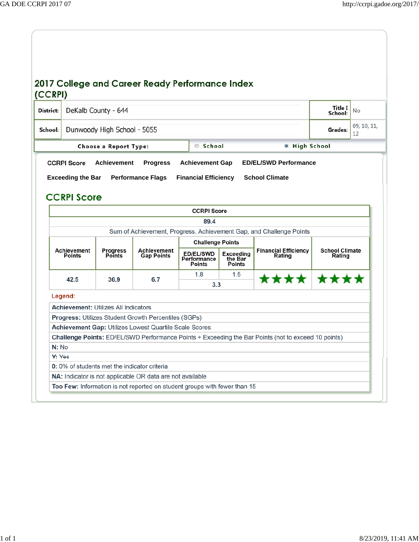| District:                                |                              | DeKalb County - 644                         |                                                             |                                                  |                                              |                                                                                                     | Title I<br>School:              | <b>No</b>         |
|------------------------------------------|------------------------------|---------------------------------------------|-------------------------------------------------------------|--------------------------------------------------|----------------------------------------------|-----------------------------------------------------------------------------------------------------|---------------------------------|-------------------|
| School:                                  |                              | Dunwoody High School - 5055                 |                                                             |                                                  |                                              |                                                                                                     | Grades:                         | 09, 10, 11,<br>12 |
|                                          |                              | Choose a Report Type:                       |                                                             | School                                           |                                              | <b>O</b> High School                                                                                |                                 |                   |
| <b>CCRPI Score</b><br><b>CCRPI Score</b> |                              |                                             |                                                             |                                                  |                                              |                                                                                                     |                                 |                   |
|                                          |                              |                                             |                                                             |                                                  |                                              |                                                                                                     |                                 |                   |
|                                          |                              |                                             |                                                             | 89.4                                             |                                              |                                                                                                     |                                 |                   |
|                                          |                              |                                             |                                                             |                                                  |                                              | Sum of Achievement, Progress, Achievement Gap, and Challenge Points                                 |                                 |                   |
|                                          |                              |                                             |                                                             | <b>Challenge Points</b>                          |                                              |                                                                                                     |                                 |                   |
|                                          | Achievement<br><b>Points</b> | <b>Progress</b><br>Points                   | Achievement<br><b>Gap Points</b>                            | <b>ED/EL/SWD</b><br>Performance<br><b>Points</b> | <b>Exceeding</b><br>the Bar<br><b>Points</b> | <b>Financial Efficiency</b><br>Rating                                                               | <b>School Climate</b><br>Rating |                   |
|                                          |                              |                                             |                                                             | 1.8                                              | 1.5                                          |                                                                                                     |                                 |                   |
|                                          | 42.5                         | 36.9                                        | 6.7                                                         | 3.3                                              |                                              | **** ****                                                                                           |                                 |                   |
|                                          | Legend:                      |                                             |                                                             |                                                  |                                              |                                                                                                     |                                 |                   |
|                                          |                              | <b>Achievement: Utilizes All Indicators</b> |                                                             |                                                  |                                              |                                                                                                     |                                 |                   |
|                                          |                              |                                             | <b>Progress: Utilizes Student Growth Percentiles (SGPs)</b> |                                                  |                                              |                                                                                                     |                                 |                   |
|                                          |                              |                                             | Achievement Gap: Utilizes Lowest Quartile Scale Scores      |                                                  |                                              |                                                                                                     |                                 |                   |
|                                          |                              |                                             |                                                             |                                                  |                                              | Challenge Points: ED/EL/SWD Performance Points + Exceeding the Bar Points (not to exceed 10 points) |                                 |                   |
| N: No                                    |                              |                                             |                                                             |                                                  |                                              |                                                                                                     |                                 |                   |
| Y: Yes                                   |                              |                                             |                                                             |                                                  |                                              |                                                                                                     |                                 |                   |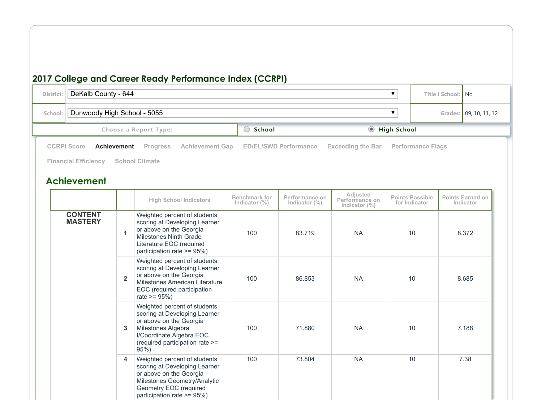#### **2017 College and Career Ready Performance Index (CCRPI) District:** DeKalb County - 644 **Title I** School: No **School:** | Dunwoody High School - 5055 **Grades:** | 09, 10, 11, 12 **Choose** a Report Type: **School School School School School School School School School Example School School School School School School School School School School School School Achievement High School Indicators Benchmark for Indicator (%) Performance on Indicator (%) Adjusted Performance on Indicator (%) Points Possible for Indicator Points Earned on Indicator CONTENT MASTERY 1** Weighted percent of students scoring at Developing Learner or above on the Georgia Milestones Ninth Grade Literature EOC (required participation rate >= 95%) 100 83.719 NA 10 8.372 **2** Weighted percent of students scoring at Developing Learner or above on the Georgia Milestones American Literature EOC (required participation rate  $>= 95\%)$ 100 86.853 NA 10 8.685 **3** Weighted percent of students scoring at Developing Learner or above on the Georgia Milestones Algebra I/Coordinate Algebra EOC (required participation rate >= 95%) 100 71.880 NA 10 7.188 **4** Weighted percent of students scoring at Developing Learner or above on the Georgia Milestones Geometry/Analytic Geometry EOC (required participation rate >= 95%) 100 73.804 NA 10 7.38 **[CCRPI](http://ccrpi.gadoe.org/2017/Reports/644/5055/High/Score.html?#tabOverallScore)** Score **[Achievement](http://ccrpi.gadoe.org/2017/Reports/644/5055/High/AchievementGap.html?#tabAchievementGap)** [Progress](http://ccrpi.gadoe.org/2017/Reports/644/5055/High/Progress.html?#tabProgress) Achievement Gap ED/EL/SWD [Performance](http://ccrpi.gadoe.org/2017/Reports/644/5055/High/PerformanceFlags.html?#tabPerformanceFlags) [Exceeding](http://ccrpi.gadoe.org/2017/Reports/644/5055/High/ExceedingTheBar.html?#tabExceedingTheBar) the Bar Performance Flags **Financial [Efficiency](http://ccrpi.gadoe.org/2017/Reports/644/5055/High/FinancialEfficiency.html?#tabFinancialEfficiency) School [Climate](http://ccrpi.gadoe.org/2017/Reports/644/5055/High/SchoolClimate.html?#tabSchoolClimate)**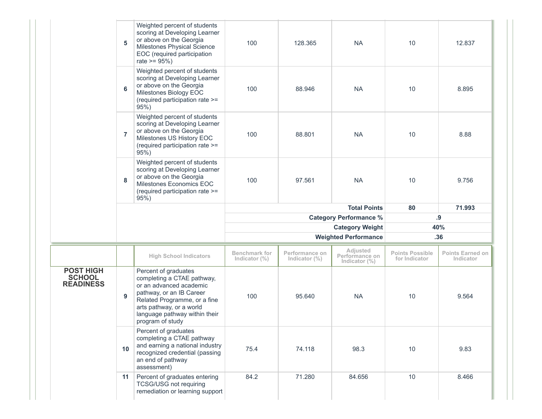|                                                       | 5              | Weighted percent of students<br>scoring at Developing Learner<br>or above on the Georgia<br>Milestones Physical Science<br>EOC (required participation<br>rate $>= 95\%$ )                                                 | 100                                      | 128.365                            | <b>NA</b>                                      | 10                                      | 12.837                               |  |
|-------------------------------------------------------|----------------|----------------------------------------------------------------------------------------------------------------------------------------------------------------------------------------------------------------------------|------------------------------------------|------------------------------------|------------------------------------------------|-----------------------------------------|--------------------------------------|--|
|                                                       | 6              | Weighted percent of students<br>scoring at Developing Learner<br>or above on the Georgia<br>Milestones Biology EOC<br>(required participation rate >=<br>95%                                                               | 100                                      | 88.946                             | <b>NA</b>                                      | 10                                      | 8.895                                |  |
|                                                       | $\overline{7}$ | Weighted percent of students<br>scoring at Developing Learner<br>or above on the Georgia<br>Milestones US History EOC<br>(required participation rate >=<br>95%                                                            | 100                                      | 88.801                             | <b>NA</b>                                      | 10                                      | 8.88                                 |  |
|                                                       | 8              | Weighted percent of students<br>scoring at Developing Learner<br>or above on the Georgia<br>Milestones Economics EOC<br>(required participation rate >=<br>95%                                                             | 100                                      | 97.561                             | <b>NA</b>                                      | 10                                      | 9.756                                |  |
|                                                       |                |                                                                                                                                                                                                                            |                                          |                                    | <b>Total Points</b>                            | 80                                      | 71.993                               |  |
|                                                       |                |                                                                                                                                                                                                                            |                                          |                                    | <b>Category Performance %</b>                  | .9                                      |                                      |  |
|                                                       |                |                                                                                                                                                                                                                            |                                          |                                    |                                                |                                         |                                      |  |
|                                                       |                |                                                                                                                                                                                                                            |                                          |                                    | <b>Category Weight</b>                         |                                         | 40%                                  |  |
|                                                       |                |                                                                                                                                                                                                                            |                                          |                                    | <b>Weighted Performance</b>                    |                                         | .36                                  |  |
|                                                       |                | <b>High School Indicators</b>                                                                                                                                                                                              | <b>Benchmark for</b><br>Indicator $(\%)$ | Performance on<br>Indicator $(\%)$ | Adjusted<br>Performance on<br>Indicator $(\%)$ | <b>Points Possible</b><br>for Indicator | <b>Points Earned on</b><br>Indicator |  |
| <b>POST HIGH</b><br><b>SCHOOL</b><br><b>READINESS</b> | 9              | Percent of graduates<br>completing a CTAE pathway,<br>or an advanced academic<br>pathway, or an IB Career<br>Related Programme, or a fine<br>arts pathway, or a world<br>language pathway within their<br>program of study | 100                                      | 95.640                             | <b>NA</b>                                      | 10                                      | 9.564                                |  |
|                                                       | 10             | Percent of graduates<br>completing a CTAE pathway<br>and earning a national industry<br>recognized credential (passing<br>an end of pathway<br>assessment)                                                                 | 75.4                                     | 74.118                             | 98.3                                           | 10                                      | 9.83                                 |  |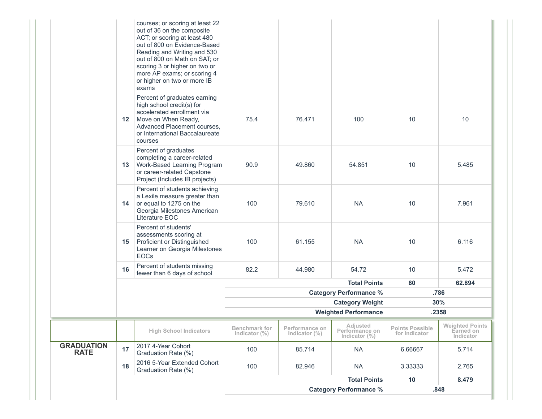|                                  |                 |                                                                                                                                                                                                                                                                                                       |                                          |                                    | <b>Category Performance %</b>                  |                                         | .848                                             |
|----------------------------------|-----------------|-------------------------------------------------------------------------------------------------------------------------------------------------------------------------------------------------------------------------------------------------------------------------------------------------------|------------------------------------------|------------------------------------|------------------------------------------------|-----------------------------------------|--------------------------------------------------|
|                                  |                 |                                                                                                                                                                                                                                                                                                       |                                          |                                    | <b>Total Points</b>                            | 10                                      | 8.479                                            |
|                                  | 18              | 2016 5-Year Extended Cohort<br>Graduation Rate (%)                                                                                                                                                                                                                                                    | 100                                      | 82.946                             | <b>NA</b>                                      | 3.33333                                 | 2.765                                            |
| <b>GRADUATION</b><br><b>RATE</b> | 17              | 2017 4-Year Cohort<br>Graduation Rate (%)                                                                                                                                                                                                                                                             | 100                                      | 85.714                             | <b>NA</b>                                      | 6.66667                                 | 5.714                                            |
|                                  |                 | <b>High School Indicators</b>                                                                                                                                                                                                                                                                         | <b>Benchmark for</b><br>Indicator $(\%)$ | Performance on<br>Indicator $(\%)$ | Adjusted<br>Performance on<br>Indicator $(\%)$ | <b>Points Possible</b><br>for Indicator | <b>Weighted Points</b><br>Earned on<br>Indicator |
|                                  |                 |                                                                                                                                                                                                                                                                                                       |                                          |                                    | <b>Weighted Performance</b>                    |                                         | .2358                                            |
|                                  |                 |                                                                                                                                                                                                                                                                                                       |                                          |                                    | <b>Category Weight</b>                         |                                         | 30%                                              |
|                                  |                 |                                                                                                                                                                                                                                                                                                       |                                          |                                    | <b>Category Performance %</b>                  |                                         | .786                                             |
|                                  |                 |                                                                                                                                                                                                                                                                                                       |                                          |                                    | <b>Total Points</b>                            | 80                                      | 62.894                                           |
|                                  | 16              | Percent of students missing<br>fewer than 6 days of school                                                                                                                                                                                                                                            | 82.2                                     | 44.980                             | 54.72                                          | 10                                      | 5.472                                            |
|                                  | 15              | Percent of students'<br>assessments scoring at<br>Proficient or Distinguished<br>Learner on Georgia Milestones<br><b>EOCs</b>                                                                                                                                                                         | 100                                      | 61.155                             | <b>NA</b>                                      | 10                                      | 6.116                                            |
|                                  | 14              | Percent of students achieving<br>a Lexile measure greater than<br>or equal to 1275 on the<br>Georgia Milestones American<br>Literature EOC                                                                                                                                                            | 100                                      | 79.610                             | <b>NA</b>                                      | 10                                      | 7.961                                            |
|                                  | 13 <sup>7</sup> | Percent of graduates<br>completing a career-related<br>Work-Based Learning Program<br>or career-related Capstone<br>Project (Includes IB projects)                                                                                                                                                    | 90.9                                     | 49.860                             | 54.851                                         | 10                                      | 5.485                                            |
|                                  | 12              | Percent of graduates earning<br>high school credit(s) for<br>accelerated enrollment via<br>Move on When Ready,<br>Advanced Placement courses,<br>or International Baccalaureate<br>courses                                                                                                            | 75.4                                     | 76.471                             | 100                                            | 10                                      | 10                                               |
|                                  |                 | courses; or scoring at least 22<br>out of 36 on the composite<br>ACT; or scoring at least 480<br>out of 800 on Evidence-Based<br>Reading and Writing and 530<br>out of 800 on Math on SAT; or<br>scoring 3 or higher on two or<br>more AP exams; or scoring 4<br>or higher on two or more IB<br>exams |                                          |                                    |                                                |                                         |                                                  |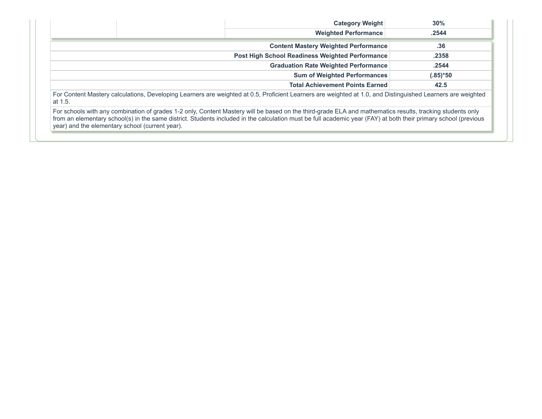|                                                 | <b>Category Weight</b>                                                                                                                                                                                                                                                                                                       | 30%         |
|-------------------------------------------------|------------------------------------------------------------------------------------------------------------------------------------------------------------------------------------------------------------------------------------------------------------------------------------------------------------------------------|-------------|
|                                                 | <b>Weighted Performance</b>                                                                                                                                                                                                                                                                                                  | .2544       |
|                                                 | <b>Content Mastery Weighted Performance</b>                                                                                                                                                                                                                                                                                  | .36         |
|                                                 | <b>Post High School Readiness Weighted Performance</b>                                                                                                                                                                                                                                                                       | .2358       |
|                                                 | <b>Graduation Rate Weighted Performance</b>                                                                                                                                                                                                                                                                                  | .2544       |
|                                                 | <b>Sum of Weighted Performances</b>                                                                                                                                                                                                                                                                                          | $(.85)$ *50 |
|                                                 | <b>Total Achievement Points Earned</b>                                                                                                                                                                                                                                                                                       | 42.5        |
| at 1.5.                                         | For Content Mastery calculations, Developing Learners are weighted at 0.5, Proficient Learners are weighted at 1.0, and Distinguished Learners are weighted                                                                                                                                                                  |             |
| year) and the elementary school (current year). | For schools with any combination of grades 1-2 only, Content Mastery will be based on the third-grade ELA and mathematics results, tracking students only<br>from an elementary school(s) in the same district. Students included in the calculation must be full academic year (FAY) at both their primary school (previous |             |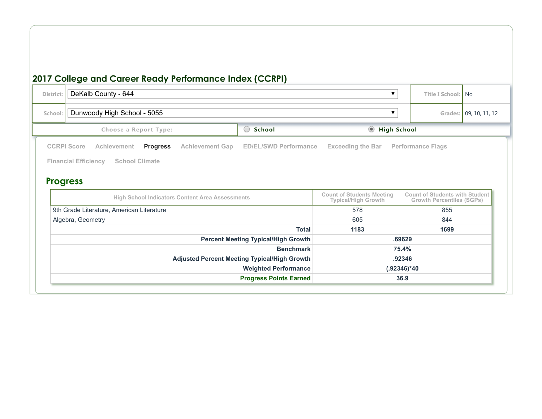## **2017 College and Career Ready Performance Index (CCRPI)** District: DeKalb County - 644 **Title I School:** No **School:** Dunwoody High School - 5055 **Grades:** 09, 10, 11, 12 **Choose a Report Type: Chool School Choose a Report Type: School School Buyer Buyer Chool Buyer Buyer Buyer Buyer Buyer Buyer Buyer Buyer Buyer Buyer Buyer Buyer Buyer Progress High School Indicators Content Area Assessments Typical/High Growth Count of Students with Student Growth Percentiles (SGPs)** 9th Grade Literature, American Literature 655 and the state of the state of the state of the state of the state  $578$ Algebra, Geometry 605 844 and the set of the set of the set of the set of the set of the set of the set of the set of the set of the set of the set of the set of the set of the set of the set of the set of the set of the s **Total 1183 1699 Percent Meeting Typical/High Growth .69629 Benchmark 75.4% Adjusted Percent Meeting Typical/High Growth .92346 Weighted Performance (.92346)\*40 Progress Points Earned 36.9 [CCRPI](http://ccrpi.gadoe.org/2017/Reports/644/5055/High/Score.html?#tabOverallScore) Score [Achievement](http://ccrpi.gadoe.org/2017/Reports/644/5055/High/Achievement.html?#tabAchievement) [PPrrooggrreessss](http://ccrpi.gadoe.org/2017/Reports/644/5055/High/Progress.html?#tabProgress) [Achievement](http://ccrpi.gadoe.org/2017/Reports/644/5055/High/AchievementGap.html?#tabAchievementGap) Gap ED/EL/SWD [Performance](http://ccrpi.gadoe.org/2017/Reports/644/5055/High/EDELSWD.html?#tabEDELSWD) [Exceeding](http://ccrpi.gadoe.org/2017/Reports/644/5055/High/ExceedingTheBar.html?#tabExceedingTheBar) the Bar [Performance](http://ccrpi.gadoe.org/2017/Reports/644/5055/High/PerformanceFlags.html?#tabPerformanceFlags) Flags Financial [Efficiency](http://ccrpi.gadoe.org/2017/Reports/644/5055/High/FinancialEfficiency.html?#tabFinancialEfficiency) School [Climate](http://ccrpi.gadoe.org/2017/Reports/644/5055/High/SchoolClimate.html?#tabSchoolClimate)**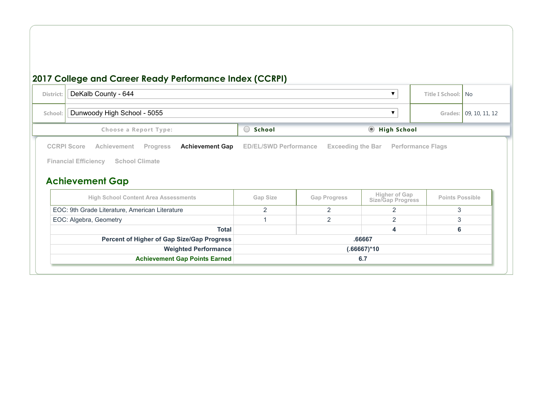# **2017 College and Career Ready Performance Index (CCRPI) District:** DeKalb County - 644 **Title I** School: No

| $501$ and $500$ intervals $71$                                                                                                                                   |                              |                          |                                    |                          |                        |
|------------------------------------------------------------------------------------------------------------------------------------------------------------------|------------------------------|--------------------------|------------------------------------|--------------------------|------------------------|
| Dunwoody High School - 5055<br>School:                                                                                                                           |                              |                          | ▼                                  |                          | Grades: 09, 10, 11, 12 |
| Choose a Report Type:                                                                                                                                            | School<br>O                  |                          | <b>Migh School</b>                 |                          |                        |
| <b>CCRPI Score</b><br><b>Achievement Gap</b><br>Achievement<br><b>Progress</b><br><b>Financial Efficiency</b><br><b>School Climate</b><br><b>Achievement Gap</b> | <b>ED/EL/SWD Performance</b> | <b>Exceeding the Bar</b> |                                    | <b>Performance Flags</b> |                        |
| <b>High School Content Area Assessments</b>                                                                                                                      | Gap Size                     | <b>Gap Progress</b>      | Higher of Gap<br>Size/Gap Progress | <b>Points Possible</b>   |                        |
| EOC: 9th Grade Literature, American Literature                                                                                                                   | $\overline{2}$               | 2                        | 2                                  | 3                        |                        |
| EOC: Algebra, Geometry                                                                                                                                           |                              | $\overline{2}$           | 2                                  | 3                        |                        |
| <b>Total</b>                                                                                                                                                     |                              |                          | 4                                  | 6                        |                        |
| Percent of Higher of Gap Size/Gap Progress                                                                                                                       |                              |                          | .66667                             |                          |                        |
| <b>Weighted Performance</b>                                                                                                                                      |                              |                          | (.66667)*10                        |                          |                        |
| <b>Achievement Gap Points Earned</b>                                                                                                                             | 6.7                          |                          |                                    |                          |                        |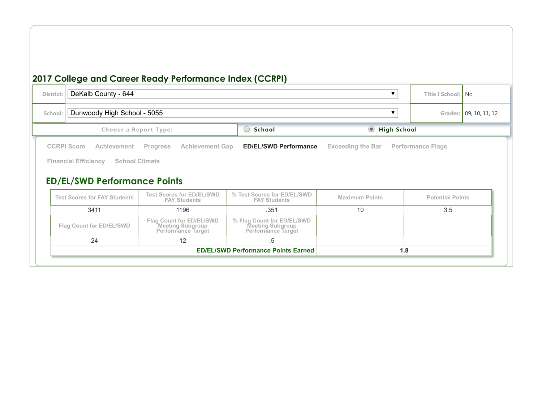#### **2017 College and Career Ready Performance Index (CCRPI)**

**Flag Count for ED/EL/SWD Meeting Subgroup Performance Target**

 $24$  12 .5

**Flag Count for ED/EL/SWD**

| District: | DeKalb County - 644                                                                                                                     |                                                         |                                                    |                               | Title I School: No          |
|-----------|-----------------------------------------------------------------------------------------------------------------------------------------|---------------------------------------------------------|----------------------------------------------------|-------------------------------|-----------------------------|
| School:   | Dunwoody High School - 5055                                                                                                             |                                                         |                                                    |                               | 09, 10, 11, 12<br>Grades: I |
|           | Choose a Report Type:                                                                                                                   |                                                         | School<br>$\begin{pmatrix} 1 \\ 1 \end{pmatrix}$   | <b>High School</b><br>$\odot$ |                             |
|           | <b>CCRPI Score</b><br><b>Achievement</b><br><b>Financial Efficiency</b><br><b>School Climate</b><br><b>ED/EL/SWD Performance Points</b> | <b>Achievement Gap</b><br><b>Progress</b>               | <b>ED/EL/SWD Performance</b>                       | <b>Exceeding the Bar</b>      | <b>Performance Flags</b>    |
|           | <b>Test Scores for FAY Students</b>                                                                                                     | <b>Test Scores for ED/EL/SWD</b><br><b>FAY Students</b> | % Test Scores for ED/EL/SWD<br><b>FAY Students</b> | <b>Maximum Points</b>         | <b>Potential Points</b>     |
|           | 3411                                                                                                                                    | 1196                                                    | .351                                               | 10                            | 3.5                         |

**% Flag Count for ED/EL/SWD Meeting Subgroup Performance Target**

**ED/EL/SWD Performance Points Earned 1.8**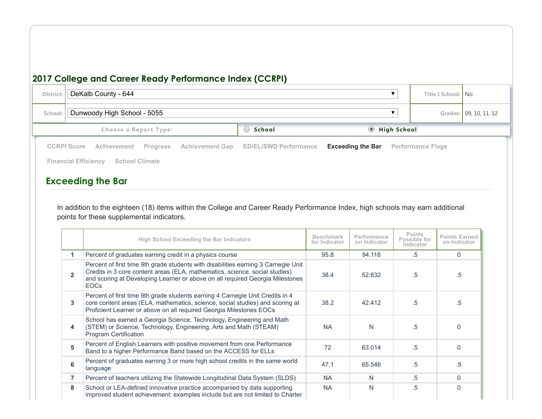#### **2017 College and Career Ready Performance Index (CCRPI)**

| <b>District</b> | DeKalb County - 644                                                            |                              |                          |  | Title I School: No       |                        |
|-----------------|--------------------------------------------------------------------------------|------------------------------|--------------------------|--|--------------------------|------------------------|
| School:         | Dunwoody High School - 5055                                                    |                              |                          |  |                          | Grades: 09, 10, 11, 12 |
|                 | Choose a Report Type:                                                          | High School                  |                          |  |                          |                        |
|                 | <b>CCRPI Score</b><br><b>Achievement Gap</b><br>Achievement<br><b>Progress</b> | <b>ED/EL/SWD Performance</b> | <b>Exceeding the Bar</b> |  | <b>Performance Flags</b> |                        |
|                 | <b>Financial Efficiency</b><br><b>School Climate</b>                           |                              |                          |  |                          |                        |

#### **Exceeding the Bar**

In addition to the eighteen (18) items within the College and Career Ready Performance Index, high schools may earn additional points for these supplemental indicators.

|                | <b>High School Exceeding the Bar Indicators</b>                                                                                                                                                                                                                   | <b>Benchmark</b><br>for Indicator | Performance<br>on Indicator | <b>Points</b><br>Possible for<br>Indicator | <b>Points Earned</b><br>on Indicator |
|----------------|-------------------------------------------------------------------------------------------------------------------------------------------------------------------------------------------------------------------------------------------------------------------|-----------------------------------|-----------------------------|--------------------------------------------|--------------------------------------|
| 1.             | Percent of graduates earning credit in a physics course                                                                                                                                                                                                           | 95.8                              | 94.118                      | $.5\,$                                     | 0                                    |
| $\overline{2}$ | Percent of first time 9th grade students with disabilities earning 3 Carnegie Unit<br>Credits in 3 core content areas (ELA, mathematics, science, social studies)<br>and scoring at Developing Learner or above on all required Georgia Milestones<br><b>EOCs</b> | 38.4                              | 52.632                      | .5                                         | .5                                   |
| 3              | Percent of first time 9th grade students earning 4 Carnegie Unit Credits in 4<br>core content areas (ELA, mathematics, science, social studies) and scoring at<br>Proficient Learner or above on all required Georgia Milestones EOCs                             | 38.2                              | 42.412                      | .5                                         | .5                                   |
| 4              | School has earned a Georgia Science, Technology, Engineering and Math<br>(STEM) or Science, Technology, Engineering, Arts and Math (STEAM)<br><b>Program Certification</b>                                                                                        | <b>NA</b>                         | N                           | .5                                         | $\Omega$                             |
| 5              | Percent of English Learners with positive movement from one Performance<br>Band to a higher Performance Band based on the ACCESS for ELLs                                                                                                                         | 72                                | 63.014                      | .5                                         | $\Omega$                             |
| 6              | Percent of graduates earning 3 or more high school credits in the same world<br>language                                                                                                                                                                          | 47.1                              | 65.546                      | .5                                         | .5                                   |
| $\overline{7}$ | Percent of teachers utilizing the Statewide Longitudinal Data System (SLDS)                                                                                                                                                                                       | <b>NA</b>                         | N                           | .5                                         | $\Omega$                             |
| 8              | School or LEA-defined innovative practice accompanied by data supporting<br>improved student achievement: examples include but are not limited to Charter                                                                                                         | <b>NA</b>                         | N                           | .5                                         | $\Omega$                             |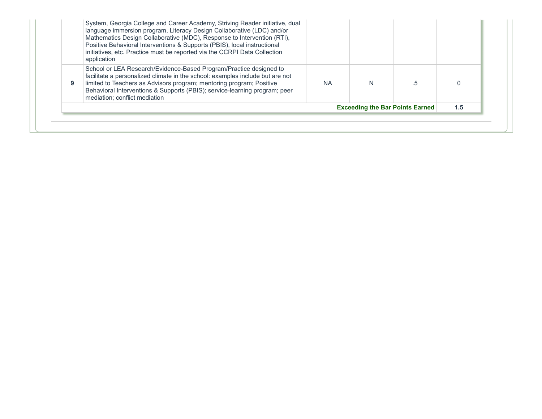| 9 | application<br>School or LEA Research/Evidence-Based Program/Practice designed to<br>facilitate a personalized climate in the school: examples include but are not<br>limited to Teachers as Advisors program; mentoring program; Positive | <b>NA</b> |  |  |
|---|--------------------------------------------------------------------------------------------------------------------------------------------------------------------------------------------------------------------------------------------|-----------|--|--|
|   | Behavioral Interventions & Supports (PBIS); service-learning program; peer<br>mediation: conflict mediation                                                                                                                                |           |  |  |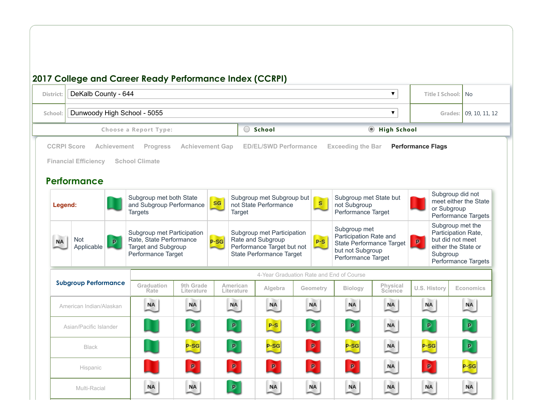| <b>District:</b> | DeKalb County - 644                                              |             |                                                                                                    |                         |                        |        |                                                                                                           |              |                                                                                                              | $\blacktriangledown$                 |                          | Title I School:                                                                                | No                                           |
|------------------|------------------------------------------------------------------|-------------|----------------------------------------------------------------------------------------------------|-------------------------|------------------------|--------|-----------------------------------------------------------------------------------------------------------|--------------|--------------------------------------------------------------------------------------------------------------|--------------------------------------|--------------------------|------------------------------------------------------------------------------------------------|----------------------------------------------|
| School:          | Dunwoody High School - 5055                                      |             |                                                                                                    |                         |                        |        |                                                                                                           |              |                                                                                                              | $\blacktriangledown$                 |                          |                                                                                                | Grades: 09, 10, 11, 12                       |
|                  |                                                                  |             | Choose a Report Type:                                                                              |                         |                        |        | School                                                                                                    |              |                                                                                                              | $\circledcirc$<br><b>High School</b> |                          |                                                                                                |                                              |
|                  | <b>CCRPI Score</b><br><b>Financial Efficiency</b><br>Performance | Achievement | Progress<br><b>School Climate</b>                                                                  | <b>Achievement Gap</b>  |                        |        | <b>ED/EL/SWD Performance</b>                                                                              |              | <b>Exceeding the Bar</b>                                                                                     |                                      | <b>Performance Flags</b> |                                                                                                |                                              |
| Legend:          |                                                                  |             | Subgroup met both State<br>and Subgroup Performance<br><b>Targets</b>                              |                         | SG                     | Target | Subgroup met Subgroup but<br>not State Performance                                                        | $\mathbf{s}$ | Subgroup met State but<br>not Subgroup<br>Performance Target                                                 |                                      |                          | Subgroup did not<br>or Subgroup                                                                | meet either the State<br>Performance Targets |
| <b>NA</b>        | Not<br>Applicable                                                | P           | Subgroup met Participation<br>Rate, State Performance<br>Target and Subgroup<br>Performance Target |                         | $P-SG$                 |        | Subgroup met Participation<br>Rate and Subgroup<br>Performance Target but not<br>State Performance Target | $P-S$        | Subgroup met<br>Participation Rate and<br>State Performance Target<br>but not Subgroup<br>Performance Target |                                      | р.                       | Subgroup met the<br>Participation Rate,<br>but did not meet<br>either the State or<br>Subgroup | Performance Targets                          |
|                  |                                                                  |             |                                                                                                    |                         |                        |        |                                                                                                           |              | 4-Year Graduation Rate and End of Course                                                                     |                                      |                          |                                                                                                |                                              |
|                  | <b>Subgroup Performance</b>                                      |             | Graduation<br>Rate                                                                                 | 9th Grade<br>Literature | American<br>Literature |        | Algebra                                                                                                   | Geometry     | <b>Biology</b>                                                                                               | <b>Physical</b><br>Science           |                          | U.S. History                                                                                   | <b>Economics</b>                             |
|                  | American Indian/Alaskan                                          |             | <b>NA</b>                                                                                          | <b>NA</b>               | NA                     |        | <b>NA</b>                                                                                                 | <b>NA</b>    | <b>NA</b>                                                                                                    | <b>NA</b>                            |                          | <b>NA</b>                                                                                      | <b>NA</b>                                    |
|                  | Asian/Pacific Islander                                           |             |                                                                                                    | $\mathbf{p}$            | $\mathbf{p}$           |        | $P-S$                                                                                                     | $\mathbf{p}$ | $\mathbf{p}$                                                                                                 | <b>NA</b>                            |                          | $\mathbf{p}$                                                                                   | $\mathbf{p}$                                 |
|                  | <b>Black</b>                                                     |             |                                                                                                    | $P-SG$                  | $\mathbf{p}$           |        | $P-SG$                                                                                                    | $\mathbf{p}$ | $P-SG$                                                                                                       | <b>NA</b>                            |                          | $P-SG$                                                                                         | $\mathbf{p}$                                 |
|                  | Hispanic                                                         |             |                                                                                                    | $\mathbf{p}$            | $\mathbf{p}$           |        | $\mathbf{p}$                                                                                              | $\mathbf{p}$ | $\mathbf{p}$                                                                                                 | <b>NA</b>                            |                          | $\mathbf{p}$                                                                                   | $P-SG$                                       |
|                  |                                                                  |             |                                                                                                    |                         |                        |        |                                                                                                           |              |                                                                                                              |                                      |                          |                                                                                                |                                              |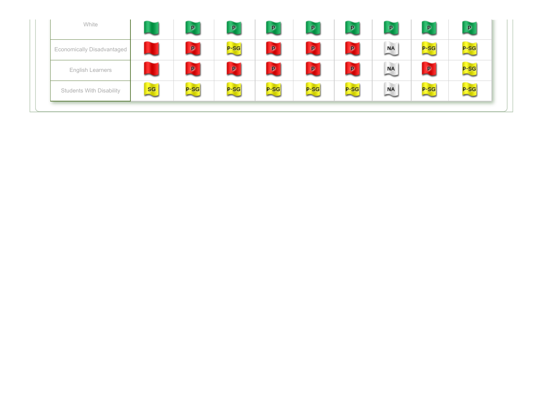| White                             |    | P                              | P            | P      | P            | $\mathbf{p}$ | $\mathbf{p}$                          | P            | $\sqrt{P}$ |
|-----------------------------------|----|--------------------------------|--------------|--------|--------------|--------------|---------------------------------------|--------------|------------|
| <b>Economically Disadvantaged</b> |    | p                              | $P-SG$       | Þ      | $\mathbf{p}$ | p            | m<br>$\overset{\text{NA}}{\sim}$      | $P-SG$       | $P-SG$     |
| English Learners                  |    | $\mathbf{p}$<br><b>Service</b> | $\mathbf{p}$ | p      | P.           | $\mathbf{p}$ | n Thur<br>$\overset{\text{NA}}{\sim}$ | $\mathbf{p}$ | $P-SG$     |
| <b>Students With Disability</b>   | sg | $P-SG$<br>-                    | $P-SG$       | $P-SG$ | p-SG         | $P-SG$       | m<br><b>NA</b>                        | $P-SG$       | $P-SG$     |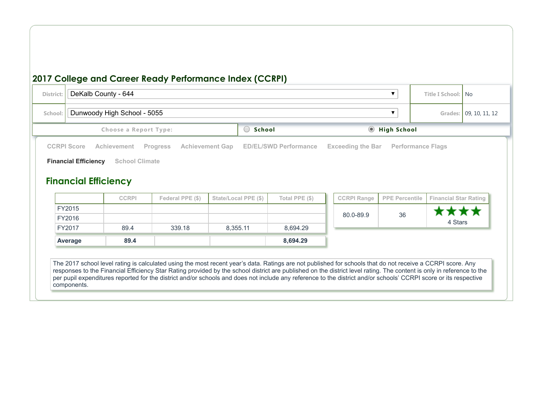### **2017 College and Career Ready Performance Index (CCRPI) District:** DeKalb County - 644 **Title I** School: No **School:** | Dunwoody High School - 5055 **Grades:** | 09, 10, 11, 12 **Choose** a Report Type: **School School School School School School School School Example Example Example Example Example Example Example Example Example Example Example Example Examp [CCRPI](http://ccrpi.gadoe.org/2017/Reports/644/5055/High/Score.html?#tabOverallScore) Score [Achievement](http://ccrpi.gadoe.org/2017/Reports/644/5055/High/Achievement.html?#tabAchievement) [Progress](http://ccrpi.gadoe.org/2017/Reports/644/5055/High/Progress.html?#tabProgress) [Achievement](http://ccrpi.gadoe.org/2017/Reports/644/5055/High/AchievementGap.html?#tabAchievementGap) Gap ED/EL/SWD [Performance](http://ccrpi.gadoe.org/2017/Reports/644/5055/High/EDELSWD.html?#tabEDELSWD) [Exceeding](http://ccrpi.gadoe.org/2017/Reports/644/5055/High/ExceedingTheBar.html?#tabExceedingTheBar) the Bar [Performance](http://ccrpi.gadoe.org/2017/Reports/644/5055/High/PerformanceFlags.html?#tabPerformanceFlags) Flags Financial Efficiency** School [Climate](http://ccrpi.gadoe.org/2017/Reports/644/5055/High/SchoolClimate.html?#tabSchoolClimate) **Financial Efficiency CCRPI Federal PPE (\$) State/Local PPE (\$) Total PPE (\$) CCRPI Range PPE Percentile Financial Star Rating** FY2015 \*\*\* Х 80.0-89.9 36 FY2016 4 Stars FY2017 89.4 339.18 8,355.11 8,694.29 **Average 89.4 8,694.29** The 2017 school level rating is calculated using the most recent year's data. Ratings are not published for schools that do not receive a CCRPI score. Any responses to the Financial Efficiency Star Rating provided by the school district are published on the district level rating. The content is only in reference to the per pupil expenditures reported for the district and/or schools and does not include any reference to the district and/or schools' CCRPI score or its respective components.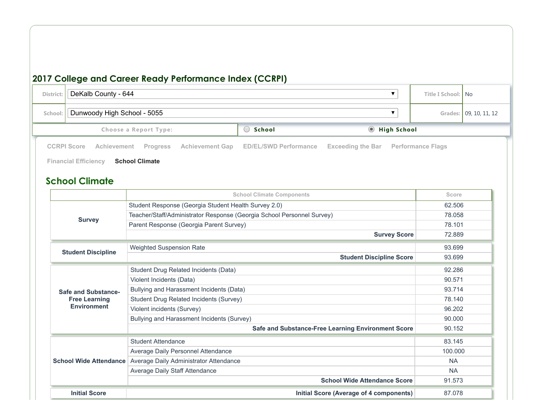#### **2017 College and Career Ready Performance Index (CCRPI) District:** DeKalb County - 644 **Title I** School: No **School:** | Dunwoody High School - 5055 **Grades:** | 09, 10, 11, 12 **Choose** a Report Type: **School School School School School School School School School Example School School School School School School School School School School School School School Climate School Climate Components Score Score Score Score Score Score Score Score Score Score Score Score Score Score Score Score Score Score SCOP Survey** Student Response (Georgia Student Health Survey 2.0) 62.506 Teacher/Staff/Administrator Response (Georgia School Personnel Survey) 78.058 Parent Response (Georgia Parent Survey) 78.101 **Survey Score** 72.889 **Student Discipline** Weighted Suspension Rate 83.699 and 200 million and 200 million and 200 million and 200 million and 200 million and 200 million and 200 million and 200 million and 200 million and 200 million and 200 million and 200 millio **Student Discipline Score** 93.699 **Safe and Substance-Free Learning Environment** Student Drug Related Incidents (Data) 92.286 Violent Incidents (Data) 90.571 Bullying and Harassment Incidents (Data) 93.714 Student Drug Related Incidents (Survey) 78.140 Violent incidents (Survey) 96.202 Bullying and Harassment Incidents (Survey) 90.000 **Safe and Substance-Free Learning Environment Score** 90.152 **School Wide Attendance** Average Daily Administrator Attendance NA Andrew NA Andrew NA Student Attendance 83.145 Average Daily Personnel Attendance 100.000 and 100.000 and 100.000 and 100.000 and 100.000 and 100.000 and 100.000 and 100.000 and 100.000 and 100.000 and 100.000 and 100.000 and 100.000 and 100.000 and 100.000 and 100.000 Average Daily Staff Attendance NA **School Wide Attendance Score** 91.573 **Initial Score Initial Score (Average of 4 components)** 87.078 **[CCRPI](http://ccrpi.gadoe.org/2017/Reports/644/5055/High/Score.html?#tabOverallScore) Score [Achievement](http://ccrpi.gadoe.org/2017/Reports/644/5055/High/Achievement.html?#tabAchievement) [Progress](http://ccrpi.gadoe.org/2017/Reports/644/5055/High/Progress.html?#tabProgress) [Achievement](http://ccrpi.gadoe.org/2017/Reports/644/5055/High/AchievementGap.html?#tabAchievementGap) Gap ED/EL/SWD [Performance](http://ccrpi.gadoe.org/2017/Reports/644/5055/High/EDELSWD.html?#tabEDELSWD) [Exceeding](http://ccrpi.gadoe.org/2017/Reports/644/5055/High/ExceedingTheBar.html?#tabExceedingTheBar) the Bar [Performance](http://ccrpi.gadoe.org/2017/Reports/644/5055/High/PerformanceFlags.html?#tabPerformanceFlags) Flags Financial [Efficiency](http://ccrpi.gadoe.org/2017/Reports/644/5055/High/FinancialEfficiency.html?#tabFinancialEfficiency) School Climate**